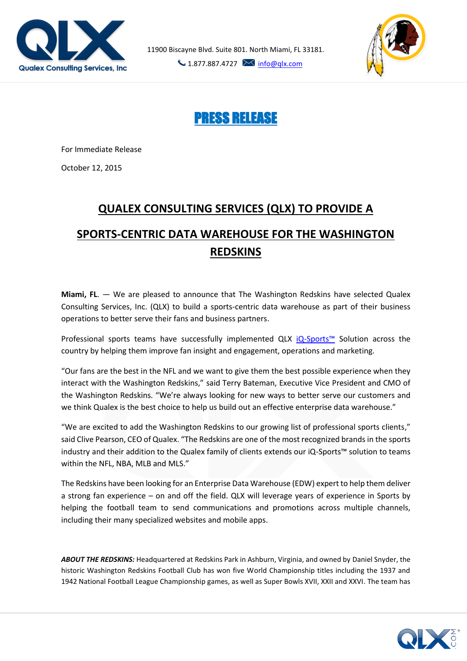

11900 Biscayne Blvd. Suite 801. North Miami, FL 33181.

 $\bigcup$  1.877.887.4727  $\bigotimes$  [info@qlx.com](mailto:info@qlx.com)



PRESS RELEASE

For Immediate Release

October 12, 2015

## **QUALEX CONSULTING SERVICES (QLX) TO PROVIDE A SPORTS-CENTRIC DATA WAREHOUSE FOR THE WASHINGTON REDSKINS**

**Miami, FL**. — We are pleased to announce that The Washington Redskins have selected Qualex Consulting Services, Inc. (QLX) to build a sports-centric data warehouse as part of their business operations to better serve their fans and business partners.

Professional sports teams have successfully implemented QLX iQ-[Sports™](http://www.qlx.com/iQ_Solutions/iq_sports.html) Solution across the country by helping them improve fan insight and engagement, operations and marketing.

"Our fans are the best in the NFL and we want to give them the best possible experience when they interact with the Washington Redskins," said Terry Bateman, Executive Vice President and CMO of the Washington Redskins*.* "We're always looking for new ways to better serve our customers and we think Qualex is the best choice to help us build out an effective enterprise data warehouse."

"We are excited to add the Washington Redskins to our growing list of professional sports clients," said Clive Pearson, CEO of Qualex. "The Redskins are one of the most recognized brands in the sports industry and their addition to the Qualex family of clients extends our iQ-Sports™ solution to teams within the NFL, NBA, MLB and MLS."

The Redskins have been looking for an Enterprise Data Warehouse (EDW) expert to help them deliver a strong fan experience – on and off the field. QLX will leverage years of experience in Sports by helping the football team to send communications and promotions across multiple channels, including their many specialized websites and mobile apps.

*ABOUT THE REDSKINS:* Headquartered at Redskins Park in Ashburn, Virginia, and owned by [Daniel Snyder,](http://blog.redskins.com/tag/daniel-snyder/) the historic Washington Redskins Football Club has won five World Championship titles including the 1937 and 1942 National Football League Championship games, as well as Super Bowls XVII, XXII and XXVI. The team has